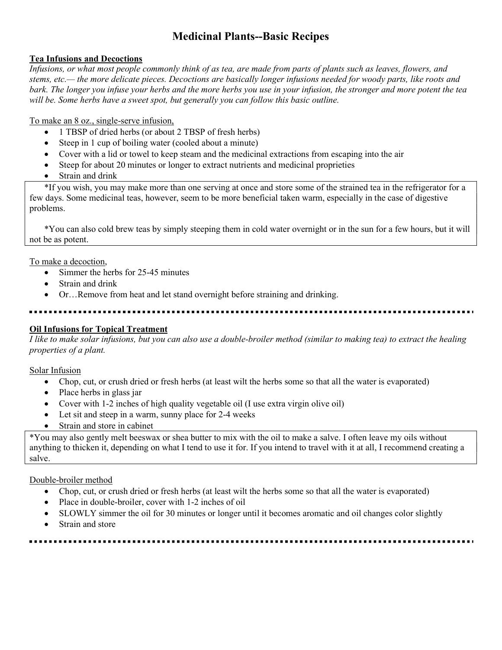# Medicinal Plants--Basic Recipes

# Tea Infusions and Decoctions

Infusions, or what most people commonly think of as tea, are made from parts of plants such as leaves, flowers, and stems, etc.— the more delicate pieces. Decoctions are basically longer infusions needed for woody parts, like roots and bark. The longer you infuse your herbs and the more herbs you use in your infusion, the stronger and more potent the tea will be. Some herbs have a sweet spot, but generally you can follow this basic outline.

To make an 8 oz., single-serve infusion,

- 1 TBSP of dried herbs (or about 2 TBSP of fresh herbs)
- Steep in 1 cup of boiling water (cooled about a minute)
- Cover with a lid or towel to keep steam and the medicinal extractions from escaping into the air
- Steep for about 20 minutes or longer to extract nutrients and medicinal proprieties
- Strain and drink

\*If you wish, you may make more than one serving at once and store some of the strained tea in the refrigerator for a few days. Some medicinal teas, however, seem to be more beneficial taken warm, especially in the case of digestive problems.

\*You can also cold brew teas by simply steeping them in cold water overnight or in the sun for a few hours, but it will not be as potent.

To make a decoction,

- Simmer the herbs for 25-45 minutes
- Strain and drink
- Or…Remove from heat and let stand overnight before straining and drinking.

## Oil Infusions for Topical Treatment

I like to make solar infusions, but you can also use a double-broiler method (similar to making tea) to extract the healing properties of a plant.

#### Solar Infusion

- Chop, cut, or crush dried or fresh herbs (at least wilt the herbs some so that all the water is evaporated)
- Place herbs in glass jar
- Cover with 1-2 inches of high quality vegetable oil (I use extra virgin olive oil)
- Let sit and steep in a warm, sunny place for 2-4 weeks
- Strain and store in cabinet

\*You may also gently melt beeswax or shea butter to mix with the oil to make a salve. I often leave my oils without anything to thicken it, depending on what I tend to use it for. If you intend to travel with it at all, I recommend creating a salve.

#### Double-broiler method

- Chop, cut, or crush dried or fresh herbs (at least wilt the herbs some so that all the water is evaporated)
- Place in double-broiler, cover with 1-2 inches of oil
- SLOWLY simmer the oil for 30 minutes or longer until it becomes aromatic and oil changes color slightly
- Strain and store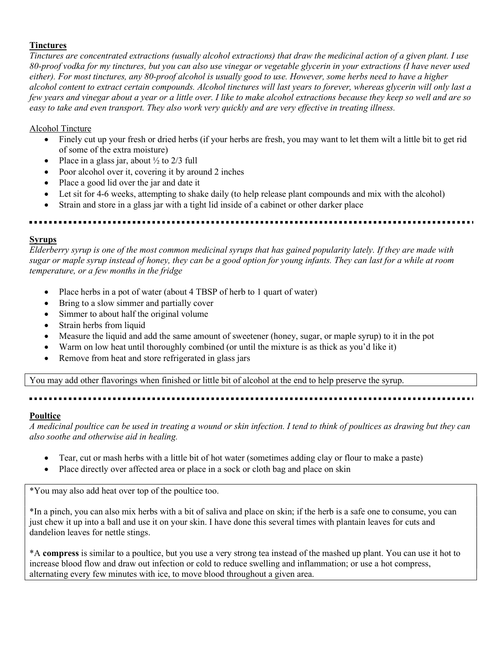### **Tinctures**

Tinctures are concentrated extractions (usually alcohol extractions) that draw the medicinal action of a given plant. I use 80-proof vodka for my tinctures, but you can also use vinegar or vegetable glycerin in your extractions (I have never used either). For most tinctures, any 80-proof alcohol is usually good to use. However, some herbs need to have a higher alcohol content to extract certain compounds. Alcohol tinctures will last years to forever, whereas glycerin will only last a few years and vinegar about a year or a little over. I like to make alcohol extractions because they keep so well and are so easy to take and even transport. They also work very quickly and are very effective in treating illness.

#### Alcohol Tincture

- Finely cut up your fresh or dried herbs (if your herbs are fresh, you may want to let them wilt a little bit to get rid of some of the extra moisture)
- Place in a glass jar, about  $\frac{1}{2}$  to 2/3 full
- Poor alcohol over it, covering it by around 2 inches
- Place a good lid over the jar and date it
- Let sit for 4-6 weeks, attempting to shake daily (to help release plant compounds and mix with the alcohol)
- Strain and store in a glass jar with a tight lid inside of a cabinet or other darker place

#### **Syrups**

Elderberry syrup is one of the most common medicinal syrups that has gained popularity lately. If they are made with sugar or maple syrup instead of honey, they can be a good option for young infants. They can last for a while at room temperature, or a few months in the fridge

- Place herbs in a pot of water (about 4 TBSP of herb to 1 quart of water)
- Bring to a slow simmer and partially cover
- Simmer to about half the original volume
- Strain herbs from liquid
- Measure the liquid and add the same amount of sweetener (honey, sugar, or maple syrup) to it in the pot
- Warm on low heat until thoroughly combined (or until the mixture is as thick as you'd like it)
- Remove from heat and store refrigerated in glass jars

You may add other flavorings when finished or little bit of alcohol at the end to help preserve the syrup.

#### **Poultice**

A medicinal poultice can be used in treating a wound or skin infection. I tend to think of poultices as drawing but they can also soothe and otherwise aid in healing.

- Tear, cut or mash herbs with a little bit of hot water (sometimes adding clay or flour to make a paste)
- Place directly over affected area or place in a sock or cloth bag and place on skin

\*You may also add heat over top of the poultice too.

\*In a pinch, you can also mix herbs with a bit of saliva and place on skin; if the herb is a safe one to consume, you can just chew it up into a ball and use it on your skin. I have done this several times with plantain leaves for cuts and dandelion leaves for nettle stings.

\*A compress is similar to a poultice, but you use a very strong tea instead of the mashed up plant. You can use it hot to increase blood flow and draw out infection or cold to reduce swelling and inflammation; or use a hot compress, alternating every few minutes with ice, to move blood throughout a given area.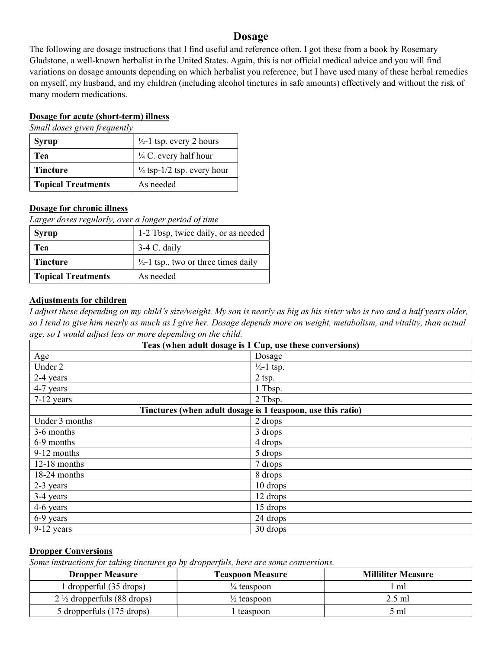# Dosage

The following are dosage instructions that I find useful and reference often. I got these from a book by Rosemary Gladstone, a well-known herbalist in the United States. Again, this is not official medical advice and you will find variations on dosage amounts depending on which herbalist you reference, but I have used many of these herbal remedies on myself, my husband, and my children (including alcohol tinctures in safe amounts) effectively and without the risk of many modern medications.

#### Dosage for acute (short-term) illness

Small doses given frequently

| <b>Syrup</b>              | $\frac{1}{2}$ -1 tsp. every 2 hours   |  |
|---------------------------|---------------------------------------|--|
| Tea                       | $\frac{1}{4}$ C. every half hour      |  |
| <b>Tincture</b>           | $\frac{1}{4}$ tsp-1/2 tsp. every hour |  |
| <b>Topical Treatments</b> | As needed                             |  |

#### Dosage for chronic illness

Larger doses regularly, over a longer period of time

| <b>Syrup</b>              | 1-2 Tbsp, twice daily, or as needed             |
|---------------------------|-------------------------------------------------|
| Tea                       | $3-4$ C. daily                                  |
| <b>Tincture</b>           | $\frac{1}{2}$ -1 tsp., two or three times daily |
| <b>Topical Treatments</b> | As needed                                       |

#### Adjustments for children

I adjust these depending on my child's size/weight. My son is nearly as big as his sister who is two and a half years older, so I tend to give him nearly as much as I give her. Dosage depends more on weight, metabolism, and vitality, than actual age, so I would adjust less or more depending on the child.

| Teas (when adult dosage is 1 Cup, use these conversions)    |                       |  |
|-------------------------------------------------------------|-----------------------|--|
| Age                                                         | Dosage                |  |
| Under 2                                                     | $\frac{1}{2}$ -1 tsp. |  |
| 2-4 years                                                   | $2$ tsp.              |  |
| 4-7 years                                                   | 1 Tbsp.               |  |
| $7-12$ years                                                | 2 Tbsp.               |  |
| Tinctures (when adult dosage is 1 teaspoon, use this ratio) |                       |  |
| Under 3 months                                              | 2 drops               |  |
| 3-6 months                                                  | 3 drops               |  |
| 6-9 months                                                  | 4 drops               |  |
| 9-12 months                                                 | 5 drops               |  |
| 12-18 months                                                | 7 drops               |  |
| 18-24 months                                                | 8 drops               |  |
| 2-3 years                                                   | 10 drops              |  |
| 3-4 years                                                   | 12 drops              |  |
| 4-6 years                                                   | 15 drops              |  |
| 6-9 years                                                   | 24 drops              |  |
| $9-12$ years                                                | 30 drops              |  |

#### Dropper Conversions

Some instructions for taking tinctures go by dropperfuls, here are some conversions.

| <b>Dropper Measure</b>                | <b>Teaspoon Measure</b> | <b>Milliliter Measure</b> |
|---------------------------------------|-------------------------|---------------------------|
| 1 dropperful (35 drops)               | $\frac{1}{4}$ teaspoon  | ml                        |
| $2\frac{1}{2}$ dropperfuls (88 drops) | $\frac{1}{2}$ teaspoon  | $2.5$ ml                  |
| 5 dropperfuls (175 drops)             | teaspoon                | 5 ml                      |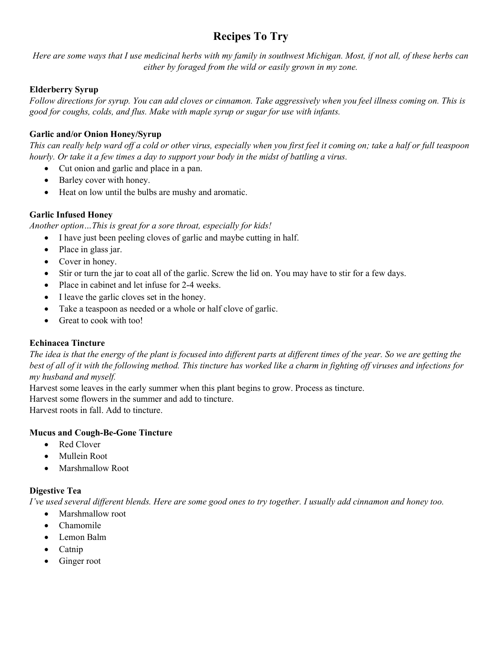# Recipes To Try

Here are some ways that I use medicinal herbs with my family in southwest Michigan. Most, if not all, of these herbs can either by foraged from the wild or easily grown in my zone.

# Elderberry Syrup

Follow directions for syrup. You can add cloves or cinnamon. Take aggressively when you feel illness coming on. This is good for coughs, colds, and flus. Make with maple syrup or sugar for use with infants.

# Garlic and/or Onion Honey/Syrup

This can really help ward off a cold or other virus, especially when you first feel it coming on; take a half or full teaspoon hourly. Or take it a few times a day to support your body in the midst of battling a virus.

- Cut onion and garlic and place in a pan.
- Barley cover with honey.
- Heat on low until the bulbs are mushy and aromatic.

# Garlic Infused Honey

Another option…This is great for a sore throat, especially for kids!

- I have just been peeling cloves of garlic and maybe cutting in half.
- Place in glass jar.
- Cover in honey.
- Stir or turn the jar to coat all of the garlic. Screw the lid on. You may have to stir for a few days.
- Place in cabinet and let infuse for 2-4 weeks.
- I leave the garlic cloves set in the honey.
- Take a teaspoon as needed or a whole or half clove of garlic.
- Great to cook with too!

# Echinacea Tincture

The idea is that the energy of the plant is focused into different parts at different times of the year. So we are getting the best of all of it with the following method. This tincture has worked like a charm in fighting off viruses and infections for my husband and myself.

Harvest some leaves in the early summer when this plant begins to grow. Process as tincture.

Harvest some flowers in the summer and add to tincture.

Harvest roots in fall. Add to tincture.

#### Mucus and Cough-Be-Gone Tincture

- Red Clover
- Mullein Root
- Marshmallow Root

#### Digestive Tea

I've used several different blends. Here are some good ones to try together. I usually add cinnamon and honey too.

- Marshmallow root
- Chamomile
- Lemon Balm
- $\bullet$  Catnip
- Ginger root